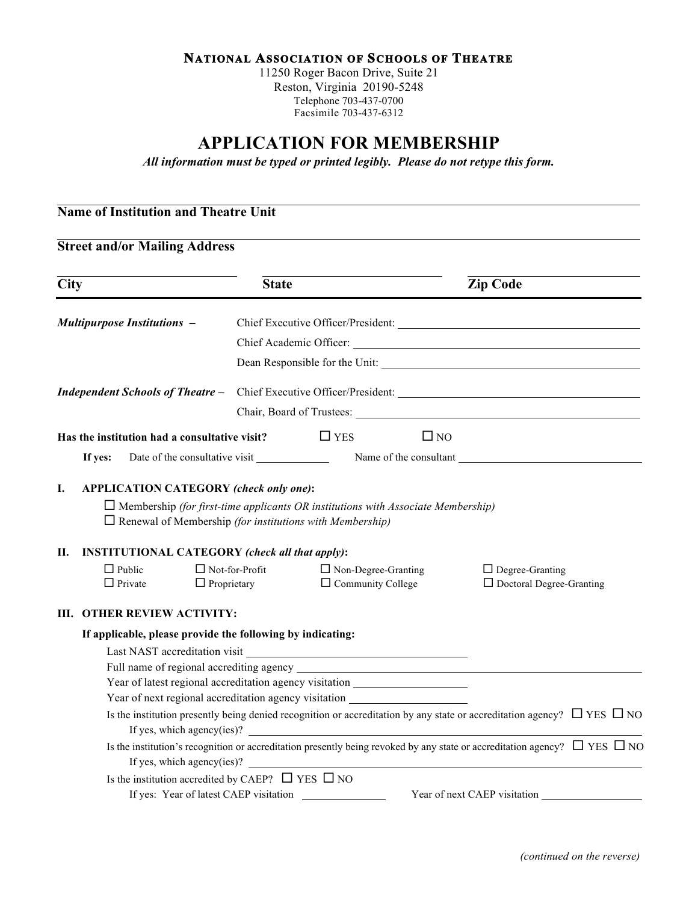## **NATIONAL ASSOCIATION OF SCHOOLS OF THEATRE**

11250 Roger Bacon Drive, Suite 21 Reston, Virginia 20190-5248 Telephone 703-437-0700 Facsimile 703-437-6312

# **APPLICATION FOR MEMBERSHIP**

*All information must be typed or printed legibly. Please do not retype this form.*

| <b>Street and/or Mailing Address</b><br><b>Zip Code</b><br><b>City</b><br><b>State</b><br><b>Multipurpose Institutions -</b><br><b>Independent Schools of Theatre -</b><br>Has the institution had a consultative visit? $\Box$ YES<br>$\square$ NO<br>Date of the consultative visit Name of the consultant Name of the consultant<br>If yes:<br>I.<br>APPLICATION CATEGORY (check only one):<br>$\Box$ Membership (for first-time applicants OR institutions with Associate Membership)<br>$\Box$ Renewal of Membership (for institutions with Membership)<br><b>INSTITUTIONAL CATEGORY</b> (check all that apply):<br>Н.<br>$\Box$ Public<br>$\Box$ Not-for-Profit<br>$\Box$ Non-Degree-Granting<br>$\Box$ Degree-Granting<br>□ Doctoral Degree-Granting<br>$\Box$ Private<br>$\Box$ Proprietary<br>$\Box$ Community College<br><b>OTHER REVIEW ACTIVITY:</b><br>Ш. | <b>Name of Institution and Theatre Unit</b> |  |  |
|------------------------------------------------------------------------------------------------------------------------------------------------------------------------------------------------------------------------------------------------------------------------------------------------------------------------------------------------------------------------------------------------------------------------------------------------------------------------------------------------------------------------------------------------------------------------------------------------------------------------------------------------------------------------------------------------------------------------------------------------------------------------------------------------------------------------------------------------------------------------|---------------------------------------------|--|--|
|                                                                                                                                                                                                                                                                                                                                                                                                                                                                                                                                                                                                                                                                                                                                                                                                                                                                        |                                             |  |  |
|                                                                                                                                                                                                                                                                                                                                                                                                                                                                                                                                                                                                                                                                                                                                                                                                                                                                        |                                             |  |  |
|                                                                                                                                                                                                                                                                                                                                                                                                                                                                                                                                                                                                                                                                                                                                                                                                                                                                        |                                             |  |  |
|                                                                                                                                                                                                                                                                                                                                                                                                                                                                                                                                                                                                                                                                                                                                                                                                                                                                        |                                             |  |  |
|                                                                                                                                                                                                                                                                                                                                                                                                                                                                                                                                                                                                                                                                                                                                                                                                                                                                        |                                             |  |  |
|                                                                                                                                                                                                                                                                                                                                                                                                                                                                                                                                                                                                                                                                                                                                                                                                                                                                        |                                             |  |  |
|                                                                                                                                                                                                                                                                                                                                                                                                                                                                                                                                                                                                                                                                                                                                                                                                                                                                        |                                             |  |  |
|                                                                                                                                                                                                                                                                                                                                                                                                                                                                                                                                                                                                                                                                                                                                                                                                                                                                        |                                             |  |  |
|                                                                                                                                                                                                                                                                                                                                                                                                                                                                                                                                                                                                                                                                                                                                                                                                                                                                        |                                             |  |  |
|                                                                                                                                                                                                                                                                                                                                                                                                                                                                                                                                                                                                                                                                                                                                                                                                                                                                        |                                             |  |  |
|                                                                                                                                                                                                                                                                                                                                                                                                                                                                                                                                                                                                                                                                                                                                                                                                                                                                        |                                             |  |  |
| If applicable, please provide the following by indicating:                                                                                                                                                                                                                                                                                                                                                                                                                                                                                                                                                                                                                                                                                                                                                                                                             |                                             |  |  |
|                                                                                                                                                                                                                                                                                                                                                                                                                                                                                                                                                                                                                                                                                                                                                                                                                                                                        |                                             |  |  |
|                                                                                                                                                                                                                                                                                                                                                                                                                                                                                                                                                                                                                                                                                                                                                                                                                                                                        |                                             |  |  |
| Year of latest regional accreditation agency visitation ________________________                                                                                                                                                                                                                                                                                                                                                                                                                                                                                                                                                                                                                                                                                                                                                                                       |                                             |  |  |
| Year of next regional accreditation agency visitation __________________________                                                                                                                                                                                                                                                                                                                                                                                                                                                                                                                                                                                                                                                                                                                                                                                       |                                             |  |  |
| Is the institution presently being denied recognition or accreditation by any state or accreditation agency? $\Box$ YES $\Box$ NO<br>If yes, which agency(ies)? $\qquad$                                                                                                                                                                                                                                                                                                                                                                                                                                                                                                                                                                                                                                                                                               |                                             |  |  |
| Is the institution's recognition or accreditation presently being revoked by any state or accreditation agency? $\Box$ YES $\Box$ NO                                                                                                                                                                                                                                                                                                                                                                                                                                                                                                                                                                                                                                                                                                                                   |                                             |  |  |
| If yes, which agency(ies)? $\qquad \qquad$                                                                                                                                                                                                                                                                                                                                                                                                                                                                                                                                                                                                                                                                                                                                                                                                                             |                                             |  |  |
| Is the institution accredited by CAEP? $\Box$ YES $\Box$ NO<br>If yes: Year of latest CAEP visitation<br>Year of next CAEP visitation                                                                                                                                                                                                                                                                                                                                                                                                                                                                                                                                                                                                                                                                                                                                  |                                             |  |  |